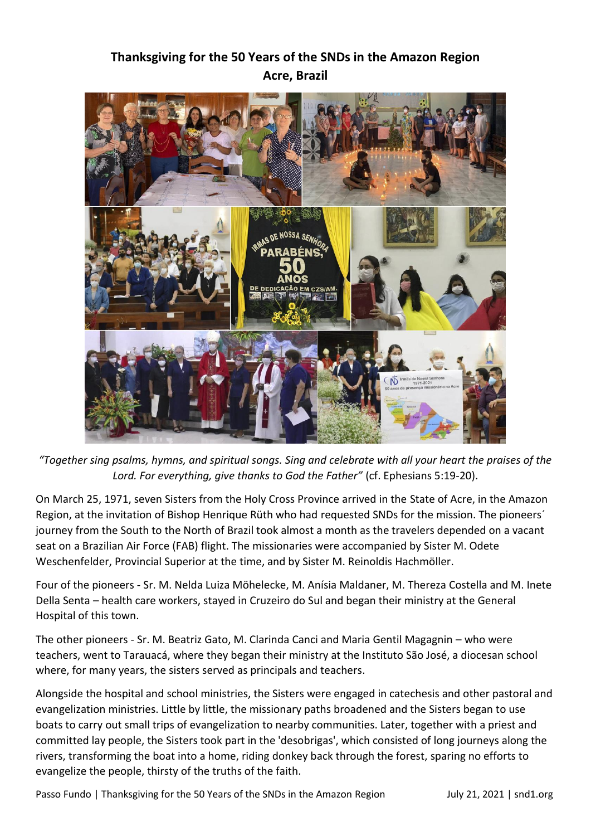## **Thanksgiving for the 50 Years of the SNDs in the Amazon Region Acre, Brazil**



*"Together sing psalms, hymns, and spiritual songs. Sing and celebrate with all your heart the praises of the Lord. For everything, give thanks to God the Father"* (cf. Ephesians 5:19-20).

On March 25, 1971, seven Sisters from the Holy Cross Province arrived in the State of Acre, in the Amazon Region, at the invitation of Bishop Henrique Rüth who had requested SNDs for the mission. The pioneers´ journey from the South to the North of Brazil took almost a month as the travelers depended on a vacant seat on a Brazilian Air Force (FAB) flight. The missionaries were accompanied by Sister M. Odete Weschenfelder, Provincial Superior at the time, and by Sister M. Reinoldis Hachmöller.

Four of the pioneers - Sr. M. Nelda Luiza Möhelecke, M. Anísia Maldaner, M. Thereza Costella and M. Inete Della Senta – health care workers, stayed in Cruzeiro do Sul and began their ministry at the General Hospital of this town.

The other pioneers - Sr. M. Beatriz Gato, M. Clarinda Canci and Maria Gentil Magagnin – who were teachers, went to Tarauacá, where they began their ministry at the Instituto São José, a diocesan school where, for many years, the sisters served as principals and teachers.

Alongside the hospital and school ministries, the Sisters were engaged in catechesis and other pastoral and evangelization ministries. Little by little, the missionary paths broadened and the Sisters began to use boats to carry out small trips of evangelization to nearby communities. Later, together with a priest and committed lay people, the Sisters took part in the 'desobrigas', which consisted of long journeys along the rivers, transforming the boat into a home, riding donkey back through the forest, sparing no efforts to evangelize the people, thirsty of the truths of the faith.

Passo Fundo | Thanksgiving for the 50 Years of the SNDs in the Amazon Region July 21, 2021 | snd1.org